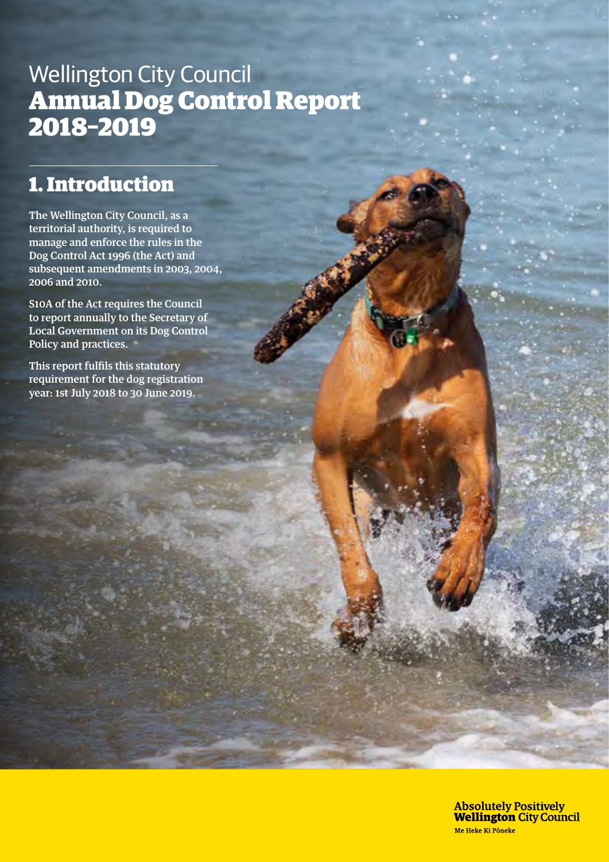# Wellington City Council Annual Dog Control Report 2018–2019

## 1. Introduction

The Wellington City Council, as a territorial authority, is required to manage and enforce the rules in the Dog Control Act 1996 (the Act) and subsequent amendments in 2003, 2004, 2006 and 2010.

S10A of the Act requires the Council to report annually to the Secretary of Local Government on its Dog Control Policy and practices.

This report fulfils this statutory requirement for the dog registration year: 1st July 2018 to 30 June 2019.

> **Absolutely Positively Wellington City Council** Me Heke Ki Pôneke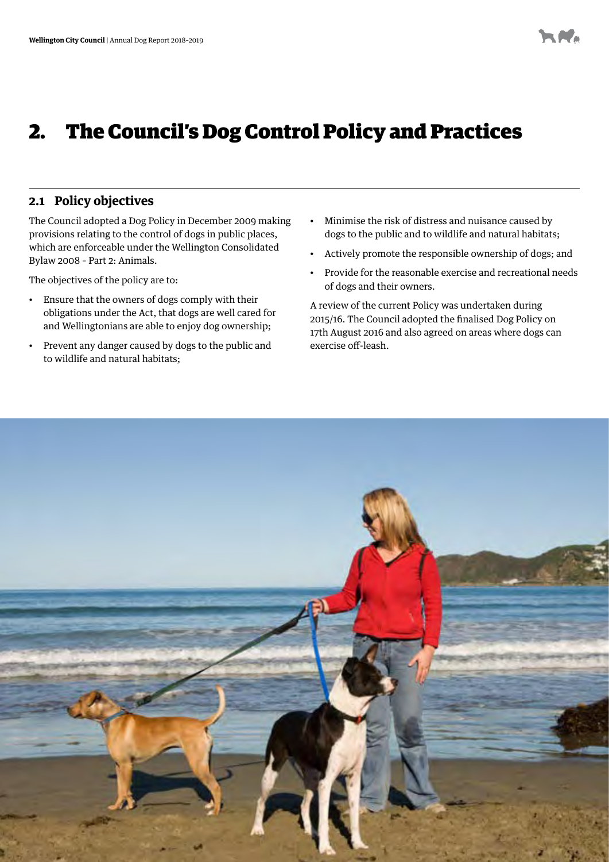# 2. The Council's Dog Control Policy and Practices

### **2.1 Policy objectives**

The Council adopted a Dog Policy in December 2009 making provisions relating to the control of dogs in public places, which are enforceable under the Wellington Consolidated Bylaw 2008 – Part 2: Animals.

The objectives of the policy are to:

- Ensure that the owners of dogs comply with their obligations under the Act, that dogs are well cared for and Wellingtonians are able to enjoy dog ownership;
- Prevent any danger caused by dogs to the public and to wildlife and natural habitats;
- Minimise the risk of distress and nuisance caused by dogs to the public and to wildlife and natural habitats;
- Actively promote the responsible ownership of dogs; and
- Provide for the reasonable exercise and recreational needs of dogs and their owners.

A review of the current Policy was undertaken during 2015/16. The Council adopted the finalised Dog Policy on 17th August 2016 and also agreed on areas where dogs can exercise off-leash.

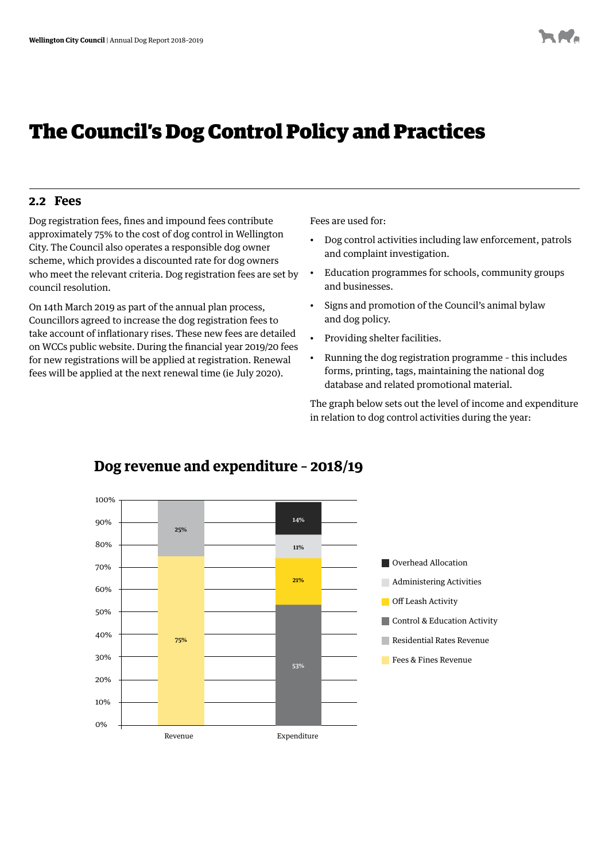## The Council's Dog Control Policy and Practices

#### **2.2 Fees**

Dog registration fees, fines and impound fees contribute approximately 75% to the cost of dog control in Wellington City. The Council also operates a responsible dog owner scheme, which provides a discounted rate for dog owners who meet the relevant criteria. Dog registration fees are set by council resolution.

On 14th March 2019 as part of the annual plan process, Councillors agreed to increase the dog registration fees to take account of inflationary rises. These new fees are detailed on WCCs public website. During the financial year 2019/20 fees for new registrations will be applied at registration. Renewal fees will be applied at the next renewal time (ie July 2020).

Fees are used for:

- Dog control activities including law enforcement, patrols and complaint investigation.
- Education programmes for schools, community groups and businesses.
- Signs and promotion of the Council's animal bylaw and dog policy.
- Providing shelter facilities.
- Running the dog registration programme this includes forms, printing, tags, maintaining the national dog database and related promotional material.

The graph below sets out the level of income and expenditure in relation to dog control activities during the year:



## **Dog revenue and expenditure – 2018/19**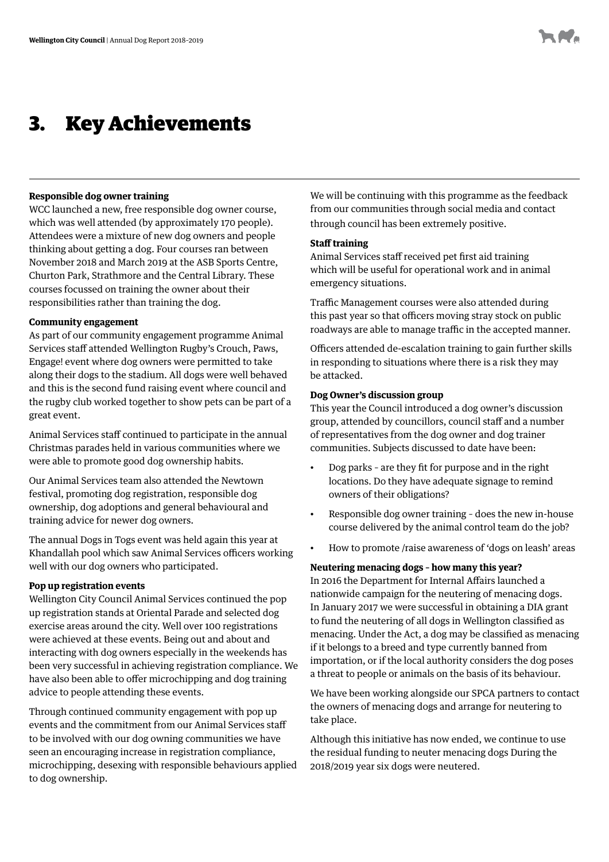## 3. Key Achievements

#### **Responsible dog owner training**

WCC launched a new, free responsible dog owner course, which was well attended (by approximately 170 people). Attendees were a mixture of new dog owners and people thinking about getting a dog. Four courses ran between November 2018 and March 2019 at the ASB Sports Centre, Churton Park, Strathmore and the Central Library. These courses focussed on training the owner about their responsibilities rather than training the dog.

#### **Community engagement**

As part of our community engagement programme Animal Services staff attended Wellington Rugby's Crouch, Paws, Engage! event where dog owners were permitted to take along their dogs to the stadium. All dogs were well behaved and this is the second fund raising event where council and the rugby club worked together to show pets can be part of a great event.

Animal Services staff continued to participate in the annual Christmas parades held in various communities where we were able to promote good dog ownership habits.

Our Animal Services team also attended the Newtown festival, promoting dog registration, responsible dog ownership, dog adoptions and general behavioural and training advice for newer dog owners.

The annual Dogs in Togs event was held again this year at Khandallah pool which saw Animal Services officers working well with our dog owners who participated.

#### **Pop up registration events**

Wellington City Council Animal Services continued the pop up registration stands at Oriental Parade and selected dog exercise areas around the city. Well over 100 registrations were achieved at these events. Being out and about and interacting with dog owners especially in the weekends has been very successful in achieving registration compliance. We have also been able to offer microchipping and dog training advice to people attending these events.

Through continued community engagement with pop up events and the commitment from our Animal Services staff to be involved with our dog owning communities we have seen an encouraging increase in registration compliance, microchipping, desexing with responsible behaviours applied to dog ownership.

We will be continuing with this programme as the feedback from our communities through social media and contact through council has been extremely positive.

#### **Staff training**

Animal Services staff received pet first aid training which will be useful for operational work and in animal emergency situations.

Traffic Management courses were also attended during this past year so that officers moving stray stock on public roadways are able to manage traffic in the accepted manner.

Officers attended de-escalation training to gain further skills in responding to situations where there is a risk they may be attacked.

#### **Dog Owner's discussion group**

This year the Council introduced a dog owner's discussion group, attended by councillors, council staff and a number of representatives from the dog owner and dog trainer communities. Subjects discussed to date have been:

- Dog parks are they fit for purpose and in the right locations. Do they have adequate signage to remind owners of their obligations?
- Responsible dog owner training does the new in-house course delivered by the animal control team do the job?
- How to promote /raise awareness of 'dogs on leash' areas

#### **Neutering menacing dogs – how many this year?**

In 2016 the Department for Internal Affairs launched a nationwide campaign for the neutering of menacing dogs. In January 2017 we were successful in obtaining a DIA grant to fund the neutering of all dogs in Wellington classified as menacing. Under the Act, a dog may be classified as menacing if it belongs to a breed and type currently banned from importation, or if the local authority considers the dog poses a threat to people or animals on the basis of its behaviour.

We have been working alongside our SPCA partners to contact the owners of menacing dogs and arrange for neutering to take place.

Although this initiative has now ended, we continue to use the residual funding to neuter menacing dogs During the 2018/2019 year six dogs were neutered.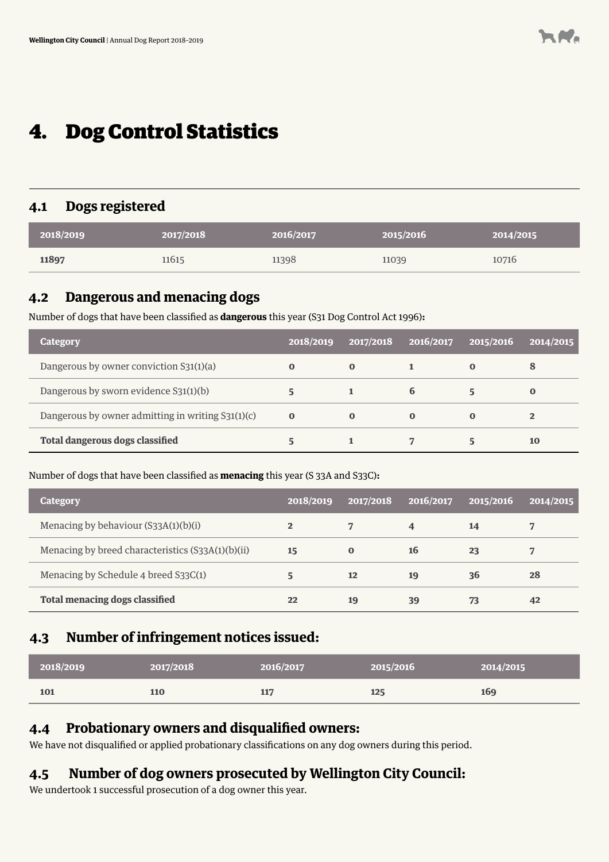## 4. Dog Control Statistics

## **4.1 Dogs registered**

| 2018/2019 | 2017/2018 | 2016/2017 | 2015/2016 | 2014/2015 |
|-----------|-----------|-----------|-----------|-----------|
| 11897     | 11615     | 11398     | 11039     | 10716     |

### **4.2 Dangerous and menacing dogs**

Number of dogs that have been classified as **dangerous** this year (S31 Dog Control Act 1996)**:**

| <b>Category</b>                                   | 2018/2019 | 2017/2018   | 12016/2017 | 2015/2016 | 2014/2015      |
|---------------------------------------------------|-----------|-------------|------------|-----------|----------------|
| Dangerous by owner conviction S31(1)(a)           | $\bf{0}$  | $\mathbf 0$ |            |           | 8              |
| Dangerous by sworn evidence S31(1)(b)             | 5         |             | 6          |           | $\bf{0}$       |
| Dangerous by owner admitting in writing S31(1)(c) | $\bf{0}$  | $\mathbf 0$ | $\bf{0}$   | 0         | $\overline{2}$ |
| <b>Total dangerous dogs classified</b>            |           |             |            |           | 10             |

Number of dogs that have been classified as **menacing** this year (S 33A and S33C)**:**

| <b>Category</b>                                   | 2018/2019 | 2017/2018 | 2016/2017               | 2015/2016 | 2014/2015 |
|---------------------------------------------------|-----------|-----------|-------------------------|-----------|-----------|
| Menacing by behaviour (S33A(1)(b)(i)              | 2         |           | $\overline{\mathbf{4}}$ | 14        |           |
| Menacing by breed characteristics (S33A(1)(b)(ii) | 15        | $\bf{O}$  | 16                      | 23        |           |
| Menacing by Schedule 4 breed S33C(1)              | 5         | 12        | 19                      | 36        | 28        |
| <b>Total menacing dogs classified</b>             | 22        | 19        | 39                      | 73        | 42        |

## **4.3 Number of infringement notices issued:**

| 2018/2019 | 2017/2018 | 2016/2017 | 2015/2016 | 2014/2015 |
|-----------|-----------|-----------|-----------|-----------|
| 101       | 110       | 117       | 125       | 169       |

### **4.4 Probationary owners and disqualified owners:**

We have not disqualified or applied probationary classifications on any dog owners during this period.

## **4.5 Number of dog owners prosecuted by Wellington City Council:**

We undertook 1 successful prosecution of a dog owner this year.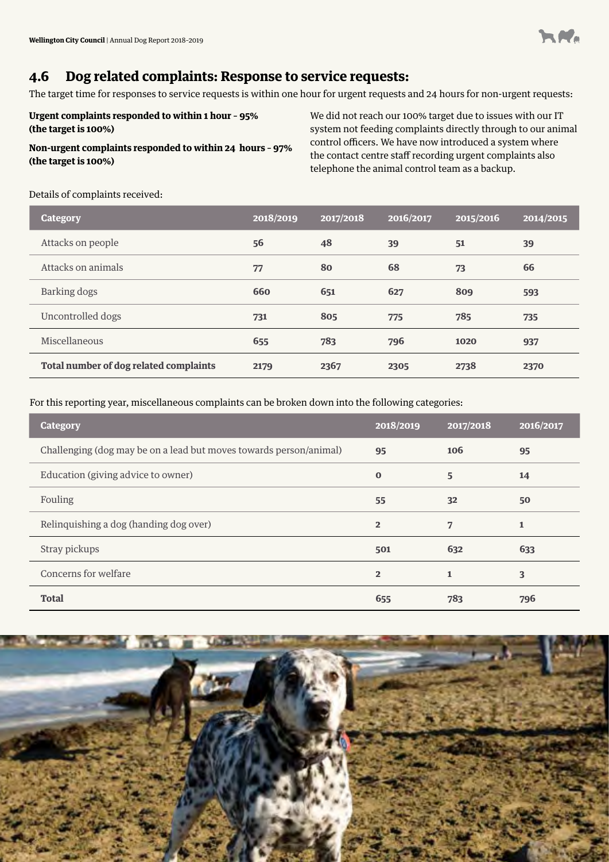

## **4.6 Dog related complaints: Response to service requests:**

The target time for responses to service requests is within one hour for urgent requests and 24 hours for non-urgent requests:

**Urgent complaints responded to within 1 hour – 95% (the target is 100%)**

#### **Non-urgent complaints responded to within 24 hours – 97% (the target is 100%)**

We did not reach our 100% target due to issues with our IT system not feeding complaints directly through to our animal control officers. We have now introduced a system where the contact centre staff recording urgent complaints also telephone the animal control team as a backup.

#### Details of complaints received:

| <b>Category</b>                        | 2018/2019 | 2017/2018 | 2016/2017 | 2015/2016 | 2014/2015 |
|----------------------------------------|-----------|-----------|-----------|-----------|-----------|
| Attacks on people                      | 56        | 48        | 39        | 51        | 39        |
| Attacks on animals                     | 77        | 80        | 68        | 73        | 66        |
| Barking dogs                           | 660       | 651       | 627       | 809       | 593       |
| Uncontrolled dogs                      | 731       | 805       | 775       | 785       | 735       |
| Miscellaneous                          | 655       | 783       | 796       | 1020      | 937       |
| Total number of dog related complaints | 2179      | 2367      | 2305      | 2738      | 2370      |

For this reporting year, miscellaneous complaints can be broken down into the following categories:

| <b>Category</b>                                                    | 2018/2019      | 2017/2018      | 2016/2017    |
|--------------------------------------------------------------------|----------------|----------------|--------------|
| Challenging (dog may be on a lead but moves towards person/animal) | 95             | 106            | 95           |
| Education (giving advice to owner)                                 | $\bf{0}$       | 5              | 14           |
| Fouling                                                            | 55             | 32             | 50           |
| Relinquishing a dog (handing dog over)                             | $\overline{2}$ | $\overline{7}$ | $\mathbf{1}$ |
| Stray pickups                                                      | 501            | 632            | 633          |
| Concerns for welfare                                               | $\overline{2}$ | $\mathbf{1}$   | 3            |
| <b>Total</b>                                                       | 655            | 783            | 796          |